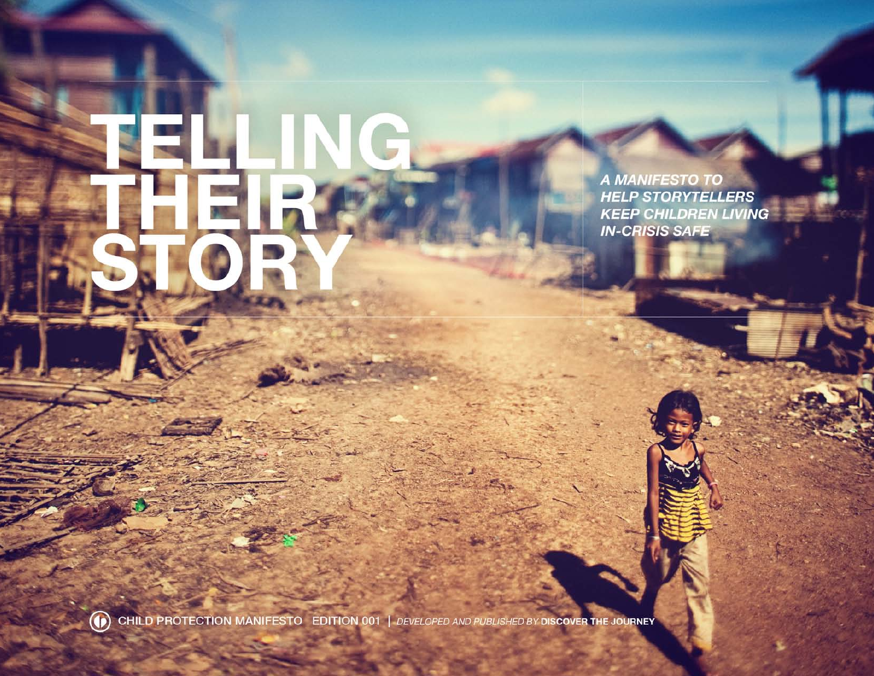A MANIFESTO TO **HELP STORYTELLERS KEEP CHILDREN LIVING IN-CRISIS SAFE** 

CHILD PROTECTION MANIFESTO EDITION 001 | DEVELOPED AND PUBLISHED BY DISCOVER THE JOURNEY  $\bullet$ 

**HELLING**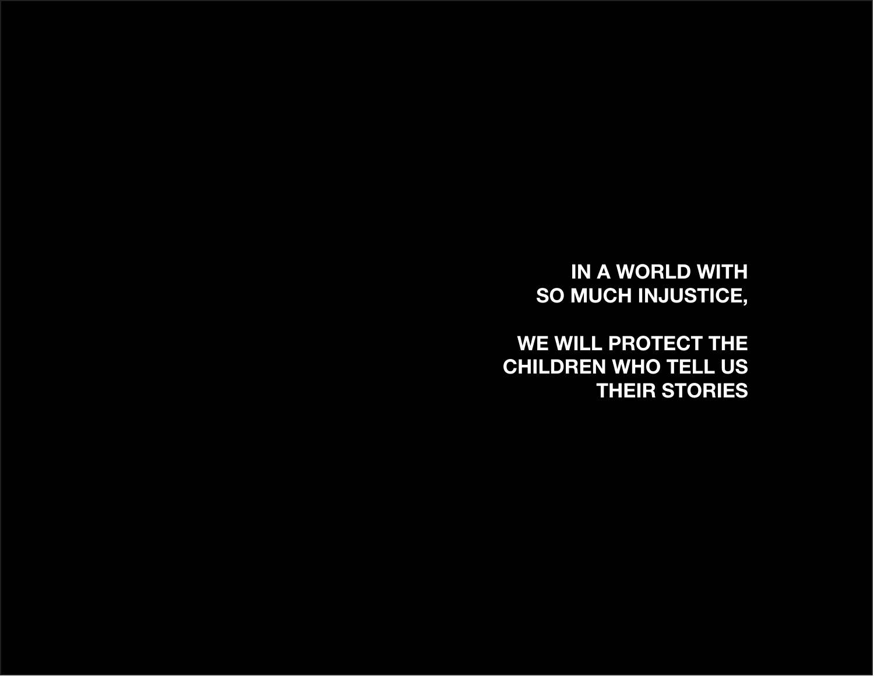## **IN A WORLD WITH SO MUCH INJUSTICE,**

**WE WILL PROTECT THE CHILDREN WHO TELL US THEIR STORIES**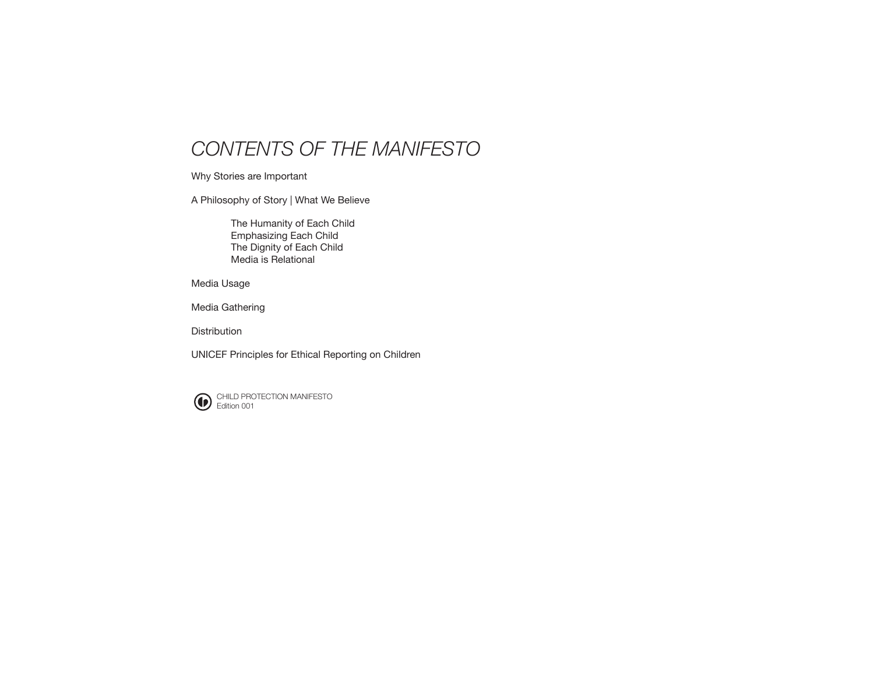### *CONTENTS OF THE MANIFESTO*

Why Stories are Important

A Philosophy of Story | What We Believe

The Humanity of Each Child Emphasizing Each Child The Dignity of Each Child Media is Relational

Media Usage

Media Gathering

Distribution

UNICEF Principles for Ethical Reporting on Children



CHILD PROTECTION MANIFESTO Edition 001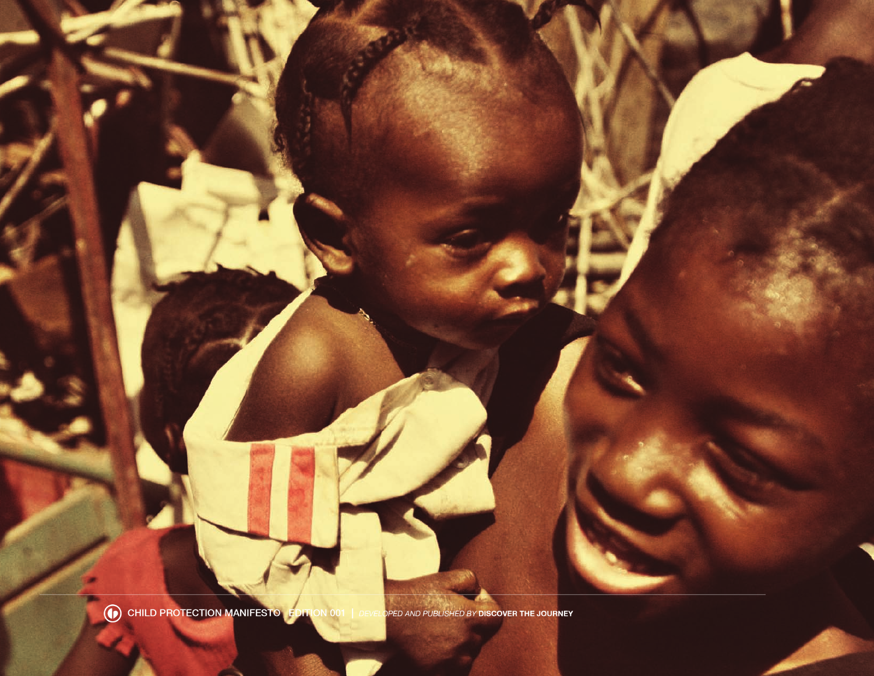**O CHILD PROTECTION MANIFESTO EDITION 001 | DEVEL** OPED AND PUBLISHED BY **DISCOVER THE JOURNEY**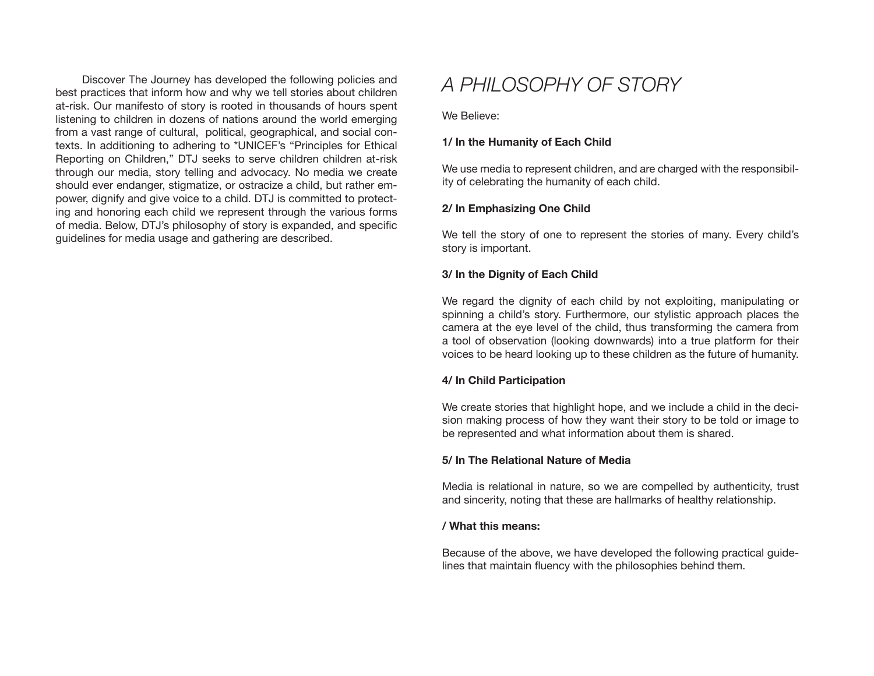Discover The Journey has developed the following policies and best practices that inform how and why we tell stories about children at-risk. Our manifesto of story is rooted in thousands of hours spent listening to children in dozens of nations around the world emerging from a vast range of cultural, political, geographical, and social contexts. In additioning to adhering to \*UNICEF's "Principles for Ethical Reporting on Children," DTJ seeks to serve children children at-risk through our media, story telling and advocacy. No media we create should ever endanger, stigmatize, or ostracize a child, but rather empower, dignify and give voice to a child. DTJ is committed to protecting and honoring each child we represent through the various forms of media. Below, DTJ's philosophy of story is expanded, and specific guidelines for media usage and gathering are described.

# *A PHILOSOPHY OF STORY*

We Believe:

#### **1/ In the Humanity of Each Child**

We use media to represent children, and are charged with the responsibility of celebrating the humanity of each child.

### **2/ In Emphasizing One Child**

We tell the story of one to represent the stories of many. Every child's story is important.

### **3/ In the Dignity of Each Child**

We regard the dignity of each child by not exploiting, manipulating or spinning a child's story. Furthermore, our stylistic approach places the camera at the eye level of the child, thus transforming the camera from a tool of observation (looking downwards) into a true platform for their voices to be heard looking up to these children as the future of humanity.

### **4/ In Child Participation**

We create stories that highlight hope, and we include a child in the decision making process of how they want their story to be told or image to be represented and what information about them is shared.

### **5/ In The Relational Nature of Media**

Media is relational in nature, so we are compelled by authenticity, trust and sincerity, noting that these are hallmarks of healthy relationship.

### **/ What this means:**

Because of the above, we have developed the following practical guidelines that maintain fluency with the philosophies behind them.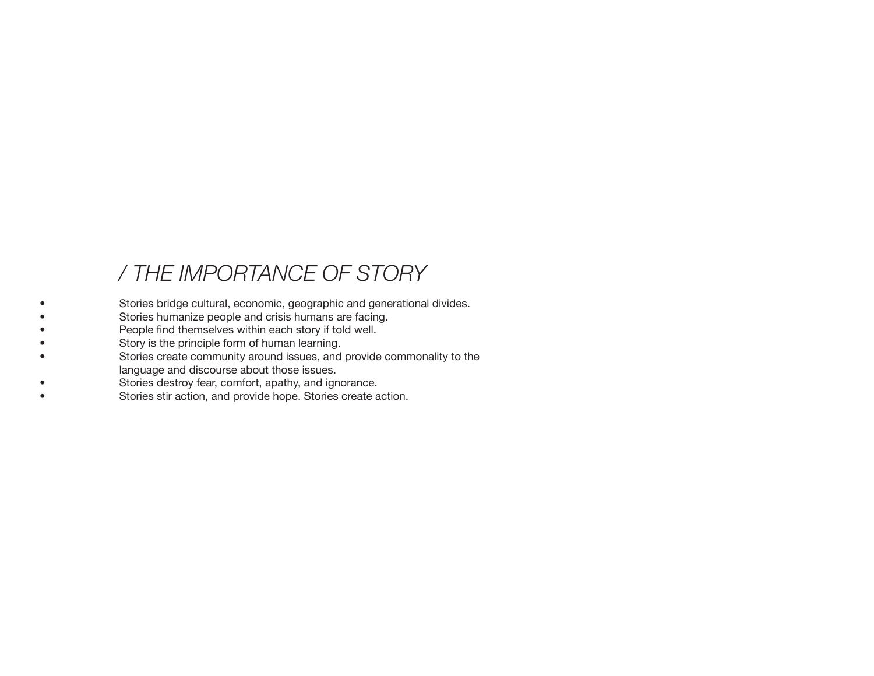# */ THE IMPORTANCE OF STORY*

- Stories bridge cultural, economic, geographic and generational divides.
- Stories humanize people and crisis humans are facing.
- People find themselves within each story if told well.
- Story is the principle form of human learning.
- Stories create community around issues, and provide commonality to the language and discourse about those issues.
- Stories destroy fear, comfort, apathy, and ignorance.
- Stories stir action, and provide hope. Stories create action.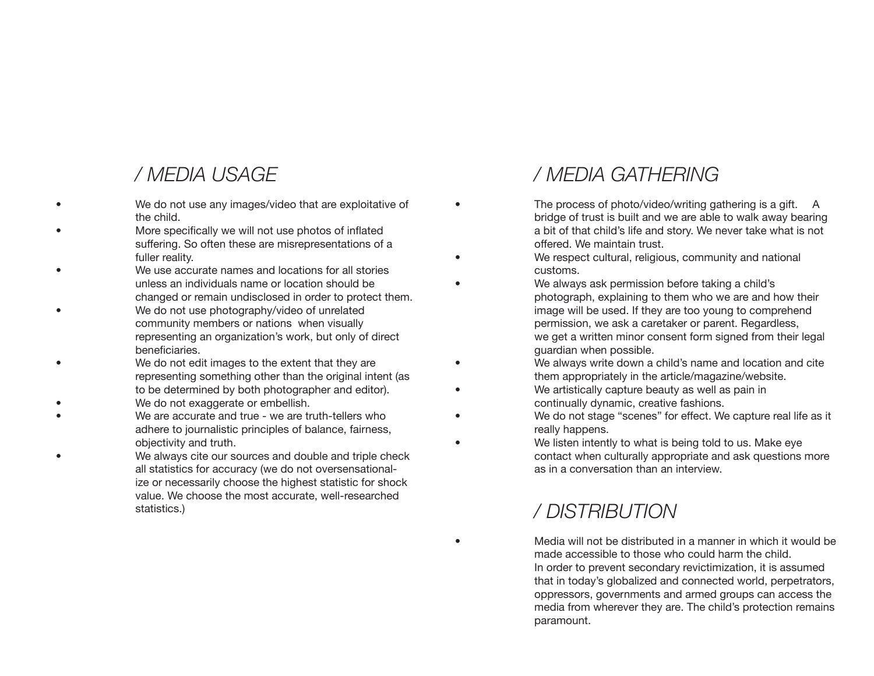### */ MEDIA USAGE*

- We do not use any images/video that are exploitative of the child.
	- More specifically we will not use photos of inflated suffering. So often these are misrepresentations of a fuller reality.
	- We use accurate names and locations for all stories unless an individuals name or location should be changed or remain undisclosed in order to protect them. We do not use photography/video of unrelated community members or nations when visually representing an organization's work, but only of direct beneficiaries.
	- We do not edit images to the extent that they are representing something other than the original intent (as to be determined by both photographer and editor). We do not exaggerate or embellish.
		- We are accurate and true we are truth-tellers who adhere to journalistic principles of balance, fairness, objectivity and truth.
			- We always cite our sources and double and triple check all statistics for accuracy (we do not oversensationalize or necessarily choose the highest statistic for shock value. We choose the most accurate, well-researched statistics.)

### */ MEDIA GATHERING*

- The process of photo/video/writing gathering is a gift. A bridge of trust is built and we are able to walk away bearing a bit of that child's life and story. We never take what is not offered. We maintain trust.
- We respect cultural, religious, community and national customs.
- We always ask permission before taking a child's photograph, explaining to them who we are and how their image will be used. If they are too young to comprehend permission, we ask a caretaker or parent. Regardless, we get a written minor consent form signed from their legal guardian when possible.
- We always write down a child's name and location and cite them appropriately in the article/magazine/website.
- We artistically capture beauty as well as pain in continually dynamic, creative fashions.
- We do not stage "scenes" for effect. We capture real life as it really happens.
- We listen intently to what is being told to us. Make eye contact when culturally appropriate and ask questions more as in a conversation than an interview.

### */ DISTRIBUTION*

• Media will not be distributed in a manner in which it would be made accessible to those who could harm the child. In order to prevent secondary revictimization, it is assumed that in today's globalized and connected world, perpetrators, oppressors, governments and armed groups can access the media from wherever they are. The child's protection remains paramount.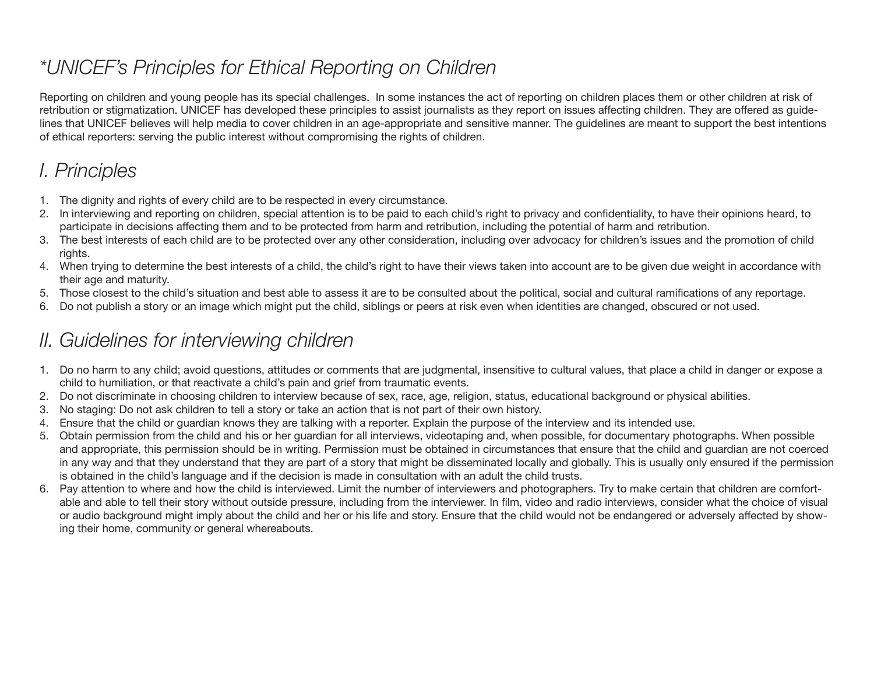# *\*UNICEF's Principles for Ethical Reporting on Children*

Reporting on children and young people has its special challenges. In some instances the act of reporting on children places them or other children at risk of retribution or stigmatization. UNICEF has developed these principles to assist journalists as they report on issues affecting children. They are offered as guidelines that UNICEF believes will help media to cover children in an age-appropriate and sensitive manner. The guidelines are meant to support the best intentions of ethical reporters: serving the public interest without compromising the rights of children.

## *I. Principles*

- 1. The dignity and rights of every child are to be respected in every circumstance.
- 2. In interviewing and reporting on children, special attention is to be paid to each child's right to privacy and confidentiality, to have their opinions heard, to participate in decisions affecting them and to be protected from harm and retribution, including the potential of harm and retribution.
- 3. The best interests of each child are to be protected over any other consideration, including over advocacy for children's issues and the promotion of child rights.
- 4. When trying to determine the best interests of a child, the child's right to have their views taken into account are to be given due weight in accordance with their age and maturity.
- 5. Those closest to the child's situation and best able to assess it are to be consulted about the political, social and cultural ramifications of any reportage.
- 6. Do not publish a story or an image which might put the child, siblings or peers at risk even when identities are changed, obscured or not used.

## *II. Guidelines for interviewing children*

- 1. Do no harm to any child; avoid questions, attitudes or comments that are judgmental, insensitive to cultural values, that place a child in danger or expose a child to humiliation, or that reactivate a child's pain and grief from traumatic events.
- 2. Do not discriminate in choosing children to interview because of sex, race, age, religion, status, educational background or physical abilities.
- 3. No staging: Do not ask children to tell a story or take an action that is not part of their own history.
- 4. Ensure that the child or guardian knows they are talking with a reporter. Explain the purpose of the interview and its intended use.
- 5. Obtain permission from the child and his or her guardian for all interviews, videotaping and, when possible, for documentary photographs. When possible and appropriate, this permission should be in writing. Permission must be obtained in circumstances that ensure that the child and guardian are not coerced in any way and that they understand that they are part of a story that might be disseminated locally and globally. This is usually only ensured if the permission is obtained in the child's language and if the decision is made in consultation with an adult the child trusts.
- 6. Pay attention to where and how the child is interviewed. Limit the number of interviewers and photographers. Try to make certain that children are comfortable and able to tell their story without outside pressure, including from the interviewer. In film, video and radio interviews, consider what the choice of visual or audio background might imply about the child and her or his life and story. Ensure that the child would not be endangered or adversely affected by showing their home, community or general whereabouts.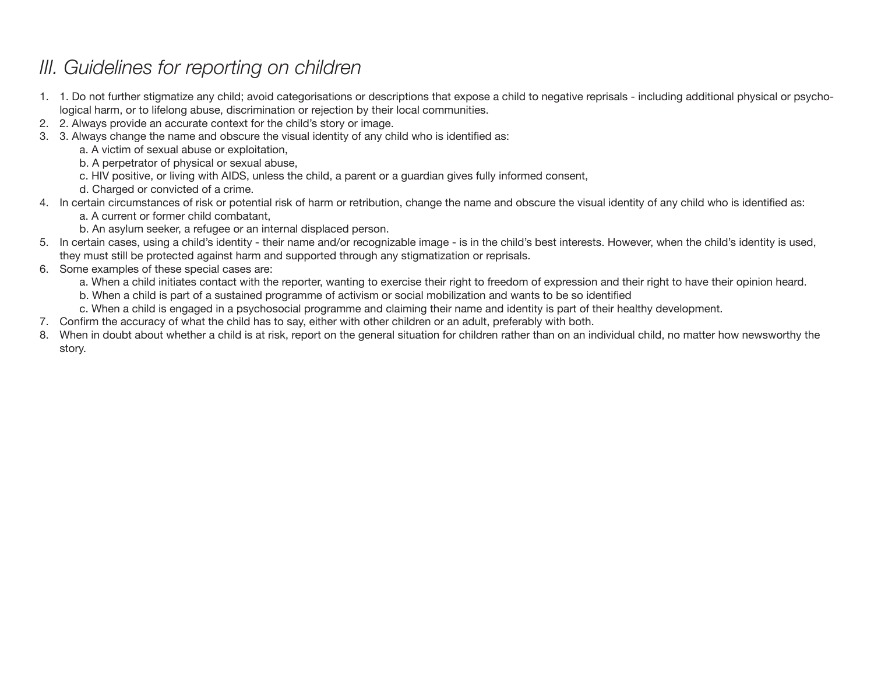## *III. Guidelines for reporting on children*

- 1. 1. Do not further stigmatize any child; avoid categorisations or descriptions that expose a child to negative reprisals including additional physical or psychological harm, or to lifelong abuse, discrimination or rejection by their local communities.
- 2. 2. Always provide an accurate context for the child's story or image.
- 3. 3. Always change the name and obscure the visual identity of any child who is identified as:
	- a. A victim of sexual abuse or exploitation,
	- b. A perpetrator of physical or sexual abuse,
	- c. HIV positive, or living with AIDS, unless the child, a parent or a guardian gives fully informed consent,
	- d. Charged or convicted of a crime.
- 4. In certain circumstances of risk or potential risk of harm or retribution, change the name and obscure the visual identity of any child who is identified as: a. A current or former child combatant,
	- b. An asylum seeker, a refugee or an internal displaced person.
- 5. In certain cases, using a child's identity their name and/or recognizable image is in the child's best interests. However, when the child's identity is used, they must still be protected against harm and supported through any stigmatization or reprisals.
- 6. Some examples of these special cases are:
	- a. When a child initiates contact with the reporter, wanting to exercise their right to freedom of expression and their right to have their opinion heard.
	- b. When a child is part of a sustained programme of activism or social mobilization and wants to be so identified
	- c. When a child is engaged in a psychosocial programme and claiming their name and identity is part of their healthy development.
- 7. Confirm the accuracy of what the child has to say, either with other children or an adult, preferably with both.
- 8. When in doubt about whether a child is at risk, report on the general situation for children rather than on an individual child, no matter how newsworthy the story.